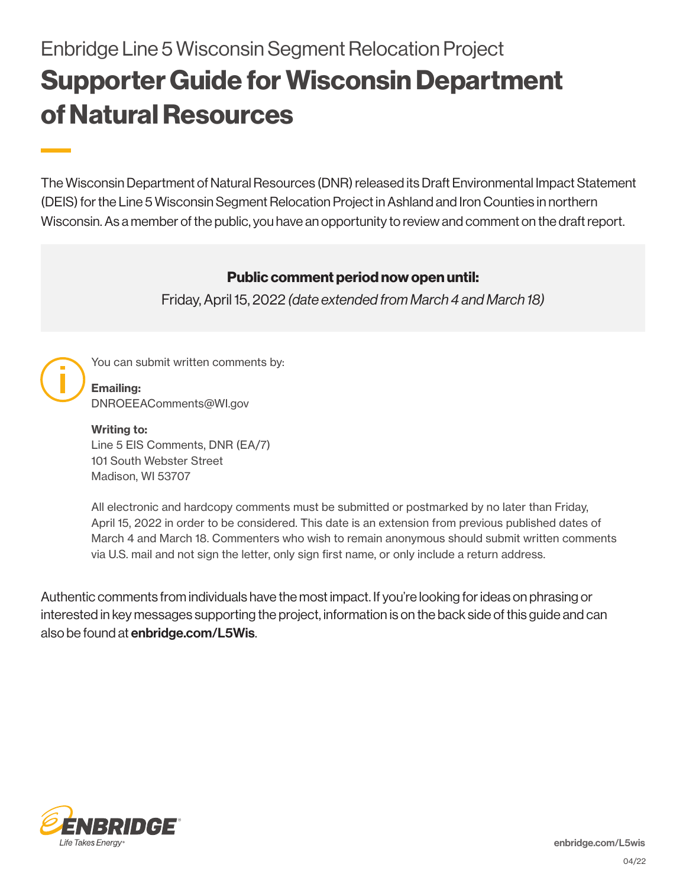# Enbridge Line 5 Wisconsin Segment Relocation Project Supporter Guide for Wisconsin Department of Natural Resources

The Wisconsin Department of Natural Resources (DNR) released its Draft Environmental Impact Statement (DEIS) for the Line 5 Wisconsin Segment Relocation Project in Ashland and Iron Counties in northern Wisconsin. As a member of the public, you have an opportunity to review and comment on the draft report.

### Public comment period now open until:

Friday, April 15, 2022 *(date extended from March 4 and March 18)*



You can submit written comments by:

Emailing: DNROEEAComments@WI.gov

Writing to: Line 5 EIS Comments, DNR (EA/7) 101 South Webster Street Madison, WI 53707

All electronic and hardcopy comments must be submitted or postmarked by no later than Friday, April 15, 2022 in order to be considered. This date is an extension from previous published dates of March 4 and March 18. Commenters who wish to remain anonymous should submit written comments via U.S. mail and not sign the letter, only sign first name, or only include a return address.

Authentic comments from individuals have the most impact. If you're looking for ideas on phrasing or interested in key messages supporting the project, information is on the back side of this guide and can also be found at **enbridge.com/L5Wis**.